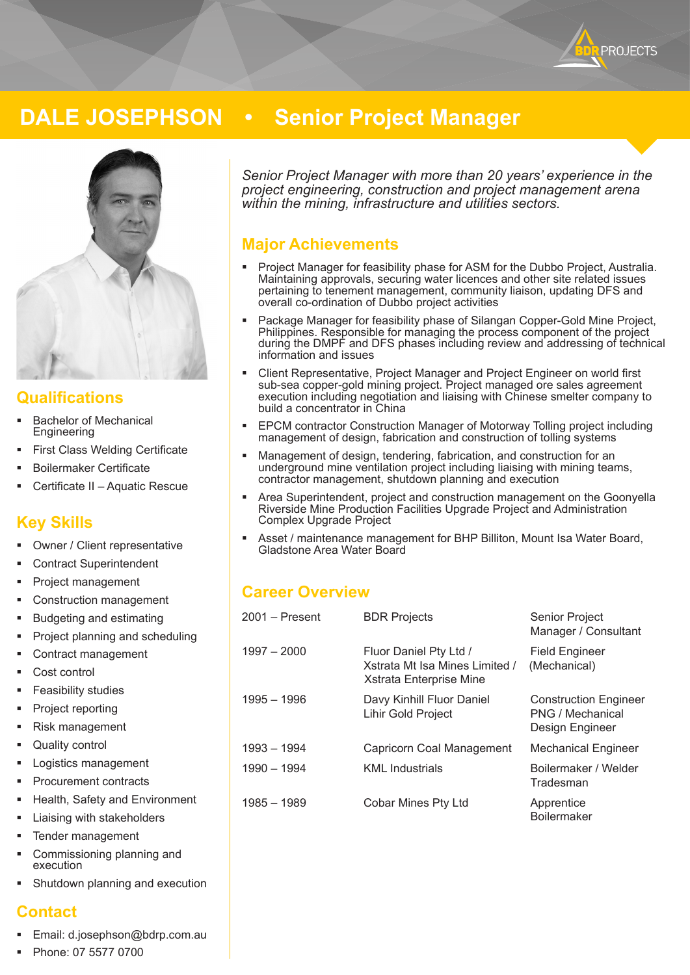

# **DALE JOSEPHSON • Senior Project Manager**



### **Qualifications**

- Bachelor of Mechanical **Engineering**
- First Class Welding Certificate
- Boilermaker Certificate
- Certificate II Aquatic Rescue

# **Key Skills**

- Owner / Client representative
- Contract Superintendent
- Project management
- Construction management
- Budgeting and estimating
- Project planning and scheduling
- Contract management
- Cost control
- Feasibility studies
- Project reporting
- Risk management
- Quality control
- Logistics management
- Procurement contracts
- Health, Safety and Environment
- Liaising with stakeholders
- Tender management
- Commissioning planning and execution
- Shutdown planning and execution

### **Contact**

- Email: d.josephson@bdrp.com.au
- Phone: 07 5577 0700

*Senior Project Manager with more than 20 years' experience in the project engineering, construction and project management arena within the mining, infrastructure and utilities sectors.*

# **Major Achievements**

- Project Manager for feasibility phase for ASM for the Dubbo Project, Australia. Maintaining approvals, securing water licences and other site related issues pertaining to tenement management, community liaison, updating DFS and overall co-ordination of Dubbo project activities
- Package Manager for feasibility phase of Silangan Copper-Gold Mine Project, Philippines. Responsible for managing the process component of the project during the DMPF and DFS phases including review and addressing of technical information and issues
- Client Representative, Project Manager and Project Engineer on world first sub-sea copper-gold mining project. Project managed ore sales agreement execution including negotiation and liaising with Chinese smelter company to build a concentrator in China
- EPCM contractor Construction Manager of Motorway Tolling project including management of design, fabrication and construction of tolling systems
- Management of design, tendering, fabrication, and construction for an underground mine ventilation project including liaising with mining teams, contractor management, shutdown planning and execution
- Area Superintendent, project and construction management on the Goonyella Riverside Mine Production Facilities Upgrade Project and Administration Complex Upgrade Project
- Asset / maintenance management for BHP Billiton, Mount Isa Water Board, Gladstone Area Water Board

# **Career Overview**

| 2001 - Present | <b>BDR Projects</b>                                                                 | Senior Project<br>Manager / Consultant                              |
|----------------|-------------------------------------------------------------------------------------|---------------------------------------------------------------------|
| $1997 - 2000$  | Fluor Daniel Pty Ltd /<br>Xstrata Mt Isa Mines Limited /<br>Xstrata Enterprise Mine | <b>Field Engineer</b><br>(Mechanical)                               |
| 1995 - 1996    | Davy Kinhill Fluor Daniel<br><b>Lihir Gold Project</b>                              | <b>Construction Engineer</b><br>PNG / Mechanical<br>Design Engineer |
| 1993 - 1994    | Capricorn Coal Management                                                           | <b>Mechanical Engineer</b>                                          |
| 1990 - 1994    | <b>KML</b> Industrials                                                              | Boilermaker / Welder<br>Tradesman                                   |
| 1985 - 1989    | Cobar Mines Pty Ltd                                                                 | Apprentice<br><b>Boilermaker</b>                                    |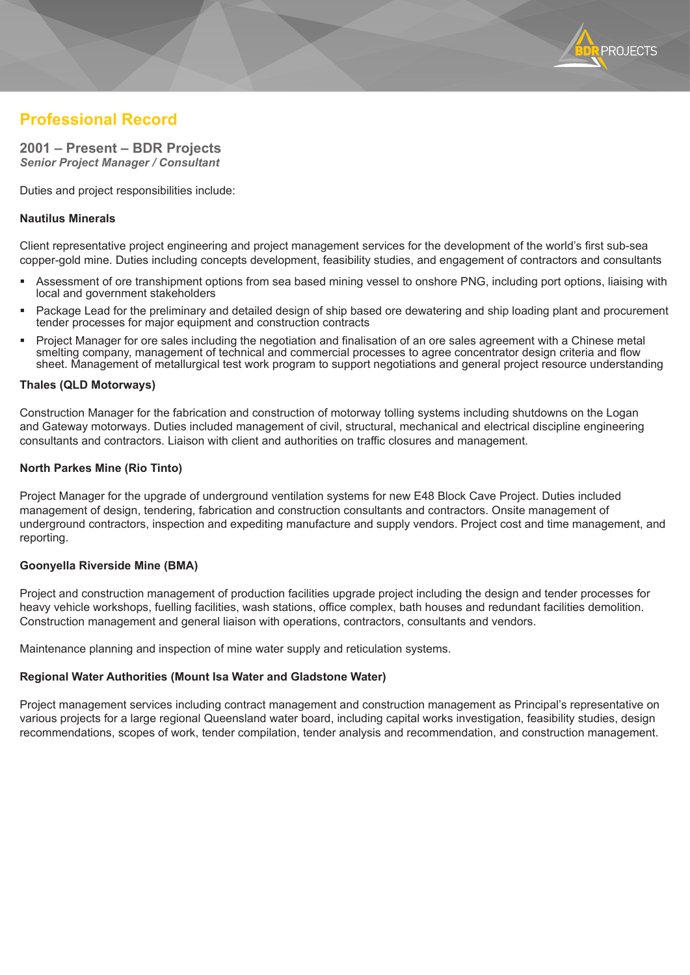

# **Professional Record**

# **2001 – Present – BDR Projects**

*Senior Project Manager / Consultant*

Duties and project responsibilities include:

#### **Nautilus Minerals**

Client representative project engineering and project management services for the development of the world's first sub-sea copper-gold mine. Duties including concepts development, feasibility studies, and engagement of contractors and consultants

- Assessment of ore transhipment options from sea based mining vessel to onshore PNG, including port options, liaising with local and government stakeholders
- Package Lead for the preliminary and detailed design of ship based ore dewatering and ship loading plant and procurement tender processes for major equipment and construction contracts
- Project Manager for ore sales including the negotiation and finalisation of an ore sales agreement with a Chinese metal smelting company, management of technical and commercial processes to agree concentrator design criteria and flow sheet. Management of metallurgical test work program to support negotiations and general project resource understanding

#### **Thales (QLD Motorways)**

Construction Manager for the fabrication and construction of motorway tolling systems including shutdowns on the Logan and Gateway motorways. Duties included management of civil, structural, mechanical and electrical discipline engineering consultants and contractors. Liaison with client and authorities on traffic closures and management.

#### **North Parkes Mine (Rio Tinto)**

Project Manager for the upgrade of underground ventilation systems for new E48 Block Cave Project. Duties included management of design, tendering, fabrication and construction consultants and contractors. Onsite management of underground contractors, inspection and expediting manufacture and supply vendors. Project cost and time management, and reporting.

#### **Goonyella Riverside Mine (BMA)**

Project and construction management of production facilities upgrade project including the design and tender processes for heavy vehicle workshops, fuelling facilities, wash stations, office complex, bath houses and redundant facilities demolition. Construction management and general liaison with operations, contractors, consultants and vendors.

Maintenance planning and inspection of mine water supply and reticulation systems.

#### **Regional Water Authorities (Mount Isa Water and Gladstone Water)**

Project management services including contract management and construction management as Principal's representative on various projects for a large regional Queensland water board, including capital works investigation, feasibility studies, design recommendations, scopes of work, tender compilation, tender analysis and recommendation, and construction management.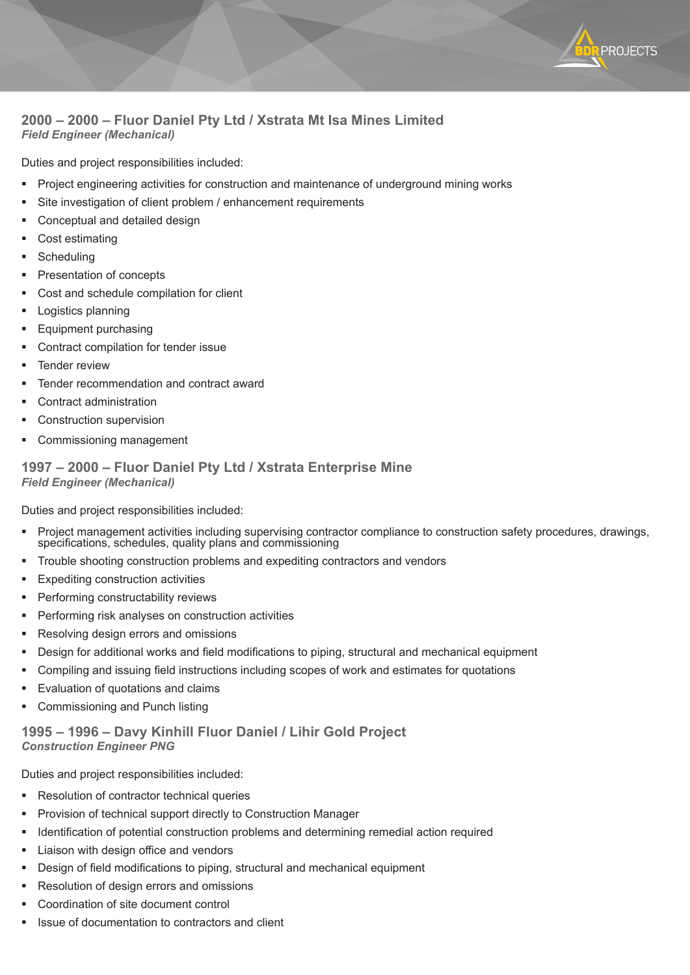

### **2000 – 2000 – Fluor Daniel Pty Ltd / Xstrata Mt Isa Mines Limited** *Field Engineer (Mechanical)*

Duties and project responsibilities included:

- Project engineering activities for construction and maintenance of underground mining works
- Site investigation of client problem / enhancement requirements
- Conceptual and detailed design
- Cost estimating
- **Scheduling**
- Presentation of concepts
- Cost and schedule compilation for client
- Logistics planning
- Equipment purchasing
- Contract compilation for tender issue
- Tender review
- Tender recommendation and contract award
- Contract administration
- Construction supervision
- Commissioning management

#### **1997 – 2000 – Fluor Daniel Pty Ltd / Xstrata Enterprise Mine** *Field Engineer (Mechanical)*

Duties and project responsibilities included:

- Project management activities including supervising contractor compliance to construction safety procedures, drawings, specifications, schedules, quality plans and commissioning
- Trouble shooting construction problems and expediting contractors and vendors
- Expediting construction activities
- Performing constructability reviews
- Performing risk analyses on construction activities
- Resolving design errors and omissions
- Design for additional works and field modifications to piping, structural and mechanical equipment
- Compiling and issuing field instructions including scopes of work and estimates for quotations
- Evaluation of quotations and claims
- Commissioning and Punch listing

### **1995 – 1996 – Davy Kinhill Fluor Daniel / Lihir Gold Project** *Construction Engineer PNG*

Duties and project responsibilities included:

- Resolution of contractor technical queries
- Provision of technical support directly to Construction Manager
- Identification of potential construction problems and determining remedial action required
- Liaison with design office and vendors
- Design of field modifications to piping, structural and mechanical equipment
- Resolution of design errors and omissions
- Coordination of site document control
- Issue of documentation to contractors and client